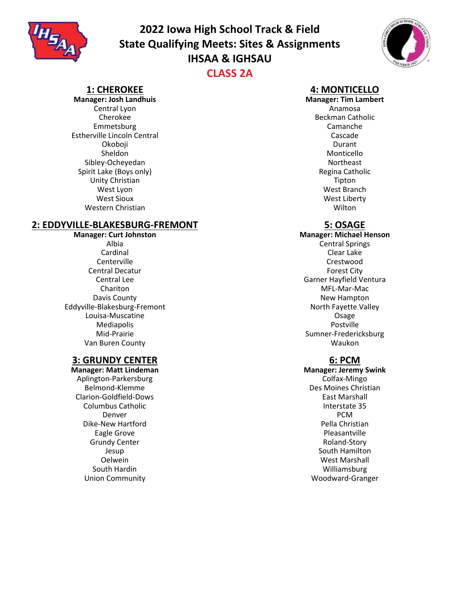

**2022 Iowa High School Track & Field State Qualifying Meets: Sites & Assignments IHSAA & IGHSAU CLASS 2A**



## **1: CHEROKEE**

**Manager: Josh Landhuis** Central Lyon Cherokee Emmetsburg Estherville Lincoln Central Okoboji Sheldon Sibley-Ocheyedan Spirit Lake (Boys only) Unity Christian West Lyon West Sioux Western Christian

#### **2: EDDYVILLE-BLAKESBURG-FREMONT**

**Manager: Curt Johnston** Albia Cardinal Centerville Central Decatur Central Lee Chariton Davis County Eddyville-Blakesburg-Fremont Louisa-Muscatine **Mediapolis** Mid-Prairie Van Buren County

#### **3: GRUNDY CENTER**

**Manager: Matt Lindeman** Aplington-Parkersburg Belmond-Klemme Clarion-Goldfield-Dows Columbus Catholic Denver Dike-New Hartford Eagle Grove Grundy Center Jesup Oelwein South Hardin Union Community

## **4: MONTICELLO**

**Manager: Tim Lambert** Anamosa Beckman Catholic Camanche Cascade Durant Monticello Northeast Regina Catholic Tipton West Branch West Liberty Wilton

## **5: OSAGE**

**Manager: Michael Henson** Central Springs Clear Lake Crestwood Forest City Garner Hayfield Ventura MFL-Mar-Mac New Hampton North Fayette Valley Osage Postville Sumner-Fredericksburg Waukon

## **6: PCM**

**Manager: Jeremy Swink** Colfax-Mingo Des Moines Christian East Marshall Interstate 35 PCM Pella Christian Pleasantville Roland-Story South Hamilton West Marshall Williamsburg Woodward-Granger